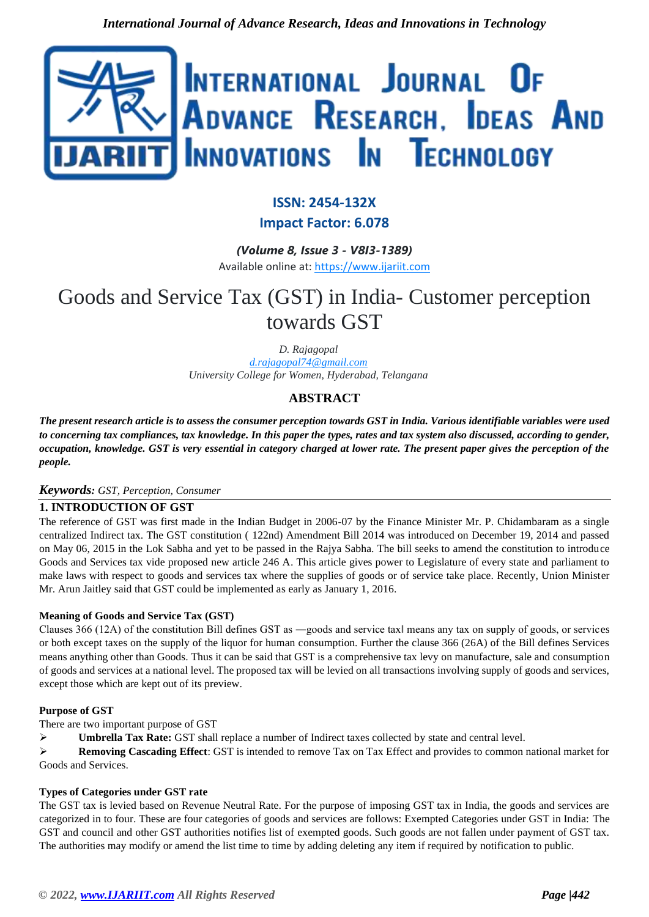

# **ISSN: 2454-132X**

**Impact Factor: 6.078**

*(Volume 8, Issue 3 - V8I3-1389)* Available online at: [https://www.ijariit.com](https://www.ijariit.com/?utm_source=pdf&utm_medium=edition&utm_campaign=OmAkSols&utm_term=V8I3-1389)

## Goods and Service Tax (GST) in India- Customer perception towards GST

*D. Rajagopal [d.rajagopal74@gmail.com](mailto:d.rajagopal74@gmail.com) University College for Women, Hyderabad, Telangana*

### **ABSTRACT**

*The present research article is to assess the consumer perception towards GST in India. Various identifiable variables were used to concerning tax compliances, tax knowledge. In this paper the types, rates and tax system also discussed, according to gender, occupation, knowledge. GST is very essential in category charged at lower rate. The present paper gives the perception of the people.* 

#### *Keywords: GST, Perception, Consumer*

#### **1. INTRODUCTION OF GST**

The reference of GST was first made in the Indian Budget in 2006-07 by the Finance Minister Mr. P. Chidambaram as a single centralized Indirect tax. The GST constitution ( 122nd) Amendment Bill 2014 was introduced on December 19, 2014 and passed on May 06, 2015 in the Lok Sabha and yet to be passed in the Rajya Sabha. The bill seeks to amend the constitution to introduce Goods and Services tax vide proposed new article 246 A. This article gives power to Legislature of every state and parliament to make laws with respect to goods and services tax where the supplies of goods or of service take place. Recently, Union Minister Mr. Arun Jaitley said that GST could be implemented as early as January 1, 2016.

#### **Meaning of Goods and Service Tax (GST)**

Clauses 366 (12A) of the constitution Bill defines GST as ―goods and service tax‖ means any tax on supply of goods, or services or both except taxes on the supply of the liquor for human consumption. Further the clause 366 (26A) of the Bill defines Services means anything other than Goods. Thus it can be said that GST is a comprehensive tax levy on manufacture, sale and consumption of goods and services at a national level. The proposed tax will be levied on all transactions involving supply of goods and services, except those which are kept out of its preview.

#### **Purpose of GST**

There are two important purpose of GST

➢ **Umbrella Tax Rate:** GST shall replace a number of Indirect taxes collected by state and central level.

➢ **Removing Cascading Effect**: GST is intended to remove Tax on Tax Effect and provides to common national market for Goods and Services.

#### **Types of Categories under GST rate**

The GST tax is levied based on Revenue Neutral Rate. For the purpose of imposing GST tax in India, the goods and services are categorized in to four. These are four categories of goods and services are follows: Exempted Categories under GST in India: The GST and council and other GST authorities notifies list of exempted goods. Such goods are not fallen under payment of GST tax. The authorities may modify or amend the list time to time by adding deleting any item if required by notification to public.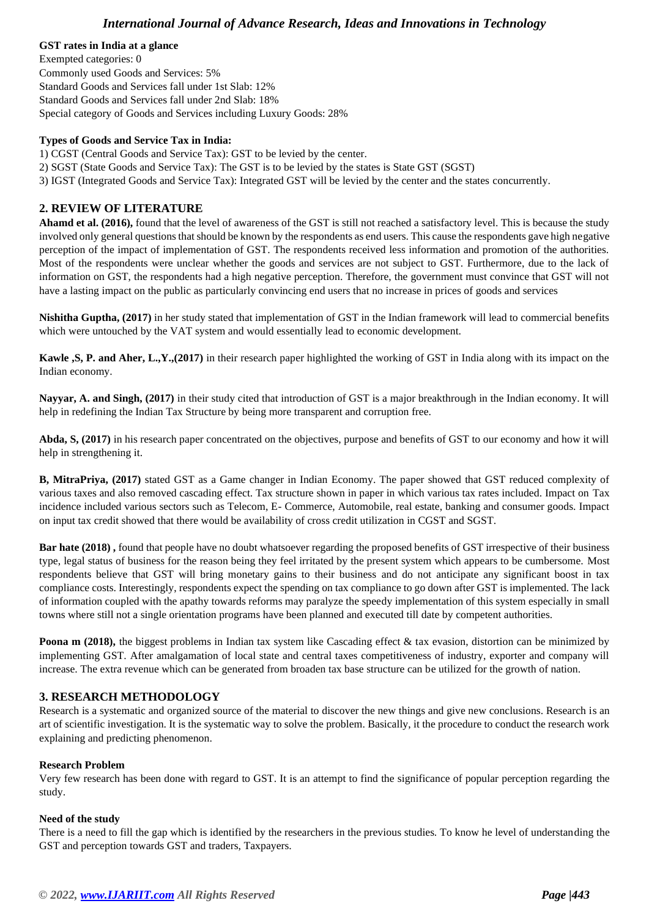#### **GST rates in India at a glance**

Exempted categories: 0 Commonly used Goods and Services: 5% Standard Goods and Services fall under 1st Slab: 12% Standard Goods and Services fall under 2nd Slab: 18% Special category of Goods and Services including Luxury Goods: 28%

#### **Types of Goods and Service Tax in India:**

1) CGST (Central Goods and Service Tax): GST to be levied by the center.

- 2) SGST (State Goods and Service Tax): The GST is to be levied by the states is State GST (SGST)
- 3) IGST (Integrated Goods and Service Tax): Integrated GST will be levied by the center and the states concurrently.

#### **2. REVIEW OF LITERATURE**

**Ahamd et al. (2016),** found that the level of awareness of the GST is still not reached a satisfactory level. This is because the study involved only general questions that should be known by the respondents as end users. This cause the respondents gave high negative perception of the impact of implementation of GST. The respondents received less information and promotion of the authorities. Most of the respondents were unclear whether the goods and services are not subject to GST. Furthermore, due to the lack of information on GST, the respondents had a high negative perception. Therefore, the government must convince that GST will not have a lasting impact on the public as particularly convincing end users that no increase in prices of goods and services

**Nishitha Guptha, (2017)** in her study stated that implementation of GST in the Indian framework will lead to commercial benefits which were untouched by the VAT system and would essentially lead to economic development.

**Kawle ,S, P. and Aher, L.,Y.,(2017)** in their research paper highlighted the working of GST in India along with its impact on the Indian economy.

**Nayyar, A. and Singh, (2017)** in their study cited that introduction of GST is a major breakthrough in the Indian economy. It will help in redefining the Indian Tax Structure by being more transparent and corruption free.

**Abda, S, (2017)** in his research paper concentrated on the objectives, purpose and benefits of GST to our economy and how it will help in strengthening it.

**B, MitraPriya, (2017)** stated GST as a Game changer in Indian Economy. The paper showed that GST reduced complexity of various taxes and also removed cascading effect. Tax structure shown in paper in which various tax rates included. Impact on Tax incidence included various sectors such as Telecom, E- Commerce, Automobile, real estate, banking and consumer goods. Impact on input tax credit showed that there would be availability of cross credit utilization in CGST and SGST.

**Bar hate (2018) ,** found that people have no doubt whatsoever regarding the proposed benefits of GST irrespective of their business type, legal status of business for the reason being they feel irritated by the present system which appears to be cumbersome. Most respondents believe that GST will bring monetary gains to their business and do not anticipate any significant boost in tax compliance costs. Interestingly, respondents expect the spending on tax compliance to go down after GST is implemented. The lack of information coupled with the apathy towards reforms may paralyze the speedy implementation of this system especially in small towns where still not a single orientation programs have been planned and executed till date by competent authorities.

**Poona m (2018),** the biggest problems in Indian tax system like Cascading effect & tax evasion, distortion can be minimized by implementing GST. After amalgamation of local state and central taxes competitiveness of industry, exporter and company will increase. The extra revenue which can be generated from broaden tax base structure can be utilized for the growth of nation.

#### **3. RESEARCH METHODOLOGY**

Research is a systematic and organized source of the material to discover the new things and give new conclusions. Research is an art of scientific investigation. It is the systematic way to solve the problem. Basically, it the procedure to conduct the research work explaining and predicting phenomenon.

#### **Research Problem**

Very few research has been done with regard to GST. It is an attempt to find the significance of popular perception regarding the study.

#### **Need of the study**

There is a need to fill the gap which is identified by the researchers in the previous studies. To know he level of understanding the GST and perception towards GST and traders, Taxpayers.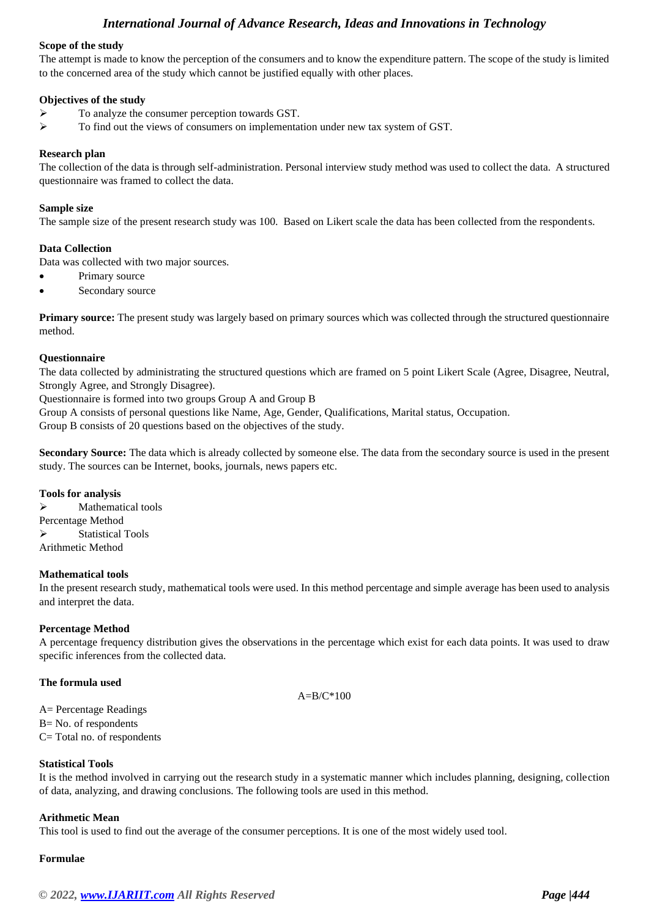#### **Scope of the study**

The attempt is made to know the perception of the consumers and to know the expenditure pattern. The scope of the study is limited to the concerned area of the study which cannot be justified equally with other places.

#### **Objectives of the study**

- ➢ To analyze the consumer perception towards GST.
- $\triangleright$  To find out the views of consumers on implementation under new tax system of GST.

#### **Research plan**

The collection of the data is through self-administration. Personal interview study method was used to collect the data. A structured questionnaire was framed to collect the data.

#### **Sample size**

The sample size of the present research study was 100. Based on Likert scale the data has been collected from the respondents.

#### **Data Collection**

Data was collected with two major sources.

- Primary source
- Secondary source

**Primary source:** The present study was largely based on primary sources which was collected through the structured questionnaire method.

#### **Questionnaire**

The data collected by administrating the structured questions which are framed on 5 point Likert Scale (Agree, Disagree, Neutral, Strongly Agree, and Strongly Disagree).

Questionnaire is formed into two groups Group A and Group B

Group A consists of personal questions like Name, Age, Gender, Qualifications, Marital status, Occupation.

Group B consists of 20 questions based on the objectives of the study.

**Secondary Source:** The data which is already collected by someone else. The data from the secondary source is used in the present study. The sources can be Internet, books, journals, news papers etc.

#### **Tools for analysis**

➢ Mathematical tools Percentage Method ➢ Statistical Tools Arithmetic Method

#### **Mathematical tools**

In the present research study, mathematical tools were used. In this method percentage and simple average has been used to analysis and interpret the data.

#### **Percentage Method**

A percentage frequency distribution gives the observations in the percentage which exist for each data points. It was used to draw specific inferences from the collected data.

#### **The formula used**

A=B/C\*100

A= Percentage Readings B= No. of respondents C= Total no. of respondents

#### **Statistical Tools**

It is the method involved in carrying out the research study in a systematic manner which includes planning, designing, collection of data, analyzing, and drawing conclusions. The following tools are used in this method.

#### **Arithmetic Mean**

This tool is used to find out the average of the consumer perceptions. It is one of the most widely used tool.

#### **Formulae**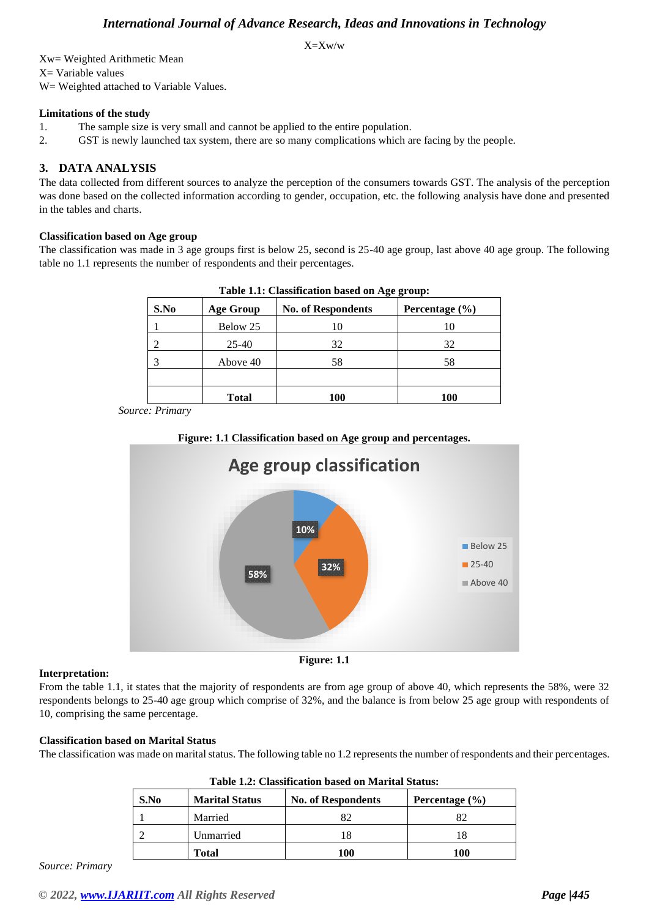X=Xw/w

Xw= Weighted Arithmetic Mean X= Variable values W= Weighted attached to Variable Values.

#### **Limitations of the study**

1. The sample size is very small and cannot be applied to the entire population.

2. GST is newly launched tax system, there are so many complications which are facing by the people.

#### **3. DATA ANALYSIS**

The data collected from different sources to analyze the perception of the consumers towards GST. The analysis of the perception was done based on the collected information according to gender, occupation, etc. the following analysis have done and presented in the tables and charts.

#### **Classification based on Age group**

The classification was made in 3 age groups first is below 25, second is 25-40 age group, last above 40 age group. The following table no 1.1 represents the number of respondents and their percentages.

| S.No | <b>Age Group</b> | <b>No. of Respondents</b> | Percentage $(\% )$ |
|------|------------------|---------------------------|--------------------|
|      | Below 25         | 10                        | 10                 |
|      | $25 - 40$        | 32                        | 32                 |
|      | Above 40         | 58                        | 58                 |
|      |                  |                           |                    |
|      | <b>Total</b>     | 100                       | 100                |

**Table 1.1: Classification based on Age group:**

*Source: Primary*





#### **Interpretation:**

From the table 1.1, it states that the majority of respondents are from age group of above 40, which represents the 58%, were 32 respondents belongs to 25-40 age group which comprise of 32%, and the balance is from below 25 age group with respondents of 10, comprising the same percentage.

#### **Classification based on Marital Status**

The classification was made on marital status. The following table no 1.2 represents the number of respondents and their percentages.

| S.No | <b>Marital Status</b> | <b>No. of Respondents</b> | Percentage $(\% )$ |
|------|-----------------------|---------------------------|--------------------|
|      | Married               |                           | 82                 |
|      | Unmarried             |                           |                    |
|      | <b>Total</b>          | 100                       | 100                |

*Source: Primary*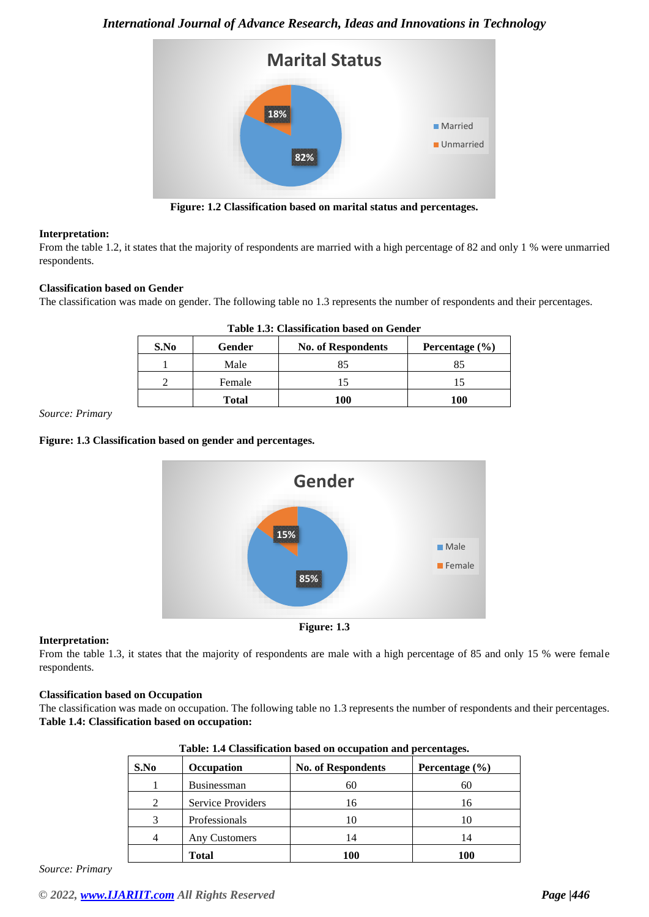

**Figure: 1.2 Classification based on marital status and percentages.**

#### **Interpretation:**

From the table 1.2, it states that the majority of respondents are married with a high percentage of 82 and only 1 % were unmarried respondents.

#### **Classification based on Gender**

The classification was made on gender. The following table no 1.3 represents the number of respondents and their percentages.

| S.No | Gender       | <b>No. of Respondents</b> | Percentage $(\% )$ |
|------|--------------|---------------------------|--------------------|
|      | Male         | 85                        | 85                 |
|      | Female       |                           |                    |
|      | <b>Total</b> | 100                       | 100                |

#### **Table 1.3: Classification based on Gender**

*Source: Primary*

#### **Figure: 1.3 Classification based on gender and percentages.**



#### **Interpretation:**

From the table 1.3, it states that the majority of respondents are male with a high percentage of 85 and only 15 % were female respondents.

#### **Classification based on Occupation**

The classification was made on occupation. The following table no 1.3 represents the number of respondents and their percentages. **Table 1.4: Classification based on occupation:**

| rabic. 1.4 Chashireation based on occupation and percentages. |                    |                           |                |  |  |
|---------------------------------------------------------------|--------------------|---------------------------|----------------|--|--|
| S.No                                                          | <b>Occupation</b>  | <b>No. of Respondents</b> | Percentage (%) |  |  |
|                                                               | <b>Businessman</b> | 60                        | 60             |  |  |
| 2                                                             | Service Providers  | 16                        | 16             |  |  |
| 3                                                             | Professionals      |                           |                |  |  |
|                                                               | Any Customers      | 14                        | 14             |  |  |
|                                                               | <b>Total</b>       | 100                       | 100            |  |  |

|  |  | Table: 1.4 Classification based on occupation and percentages. |
|--|--|----------------------------------------------------------------|
|  |  |                                                                |

*Source: Primary*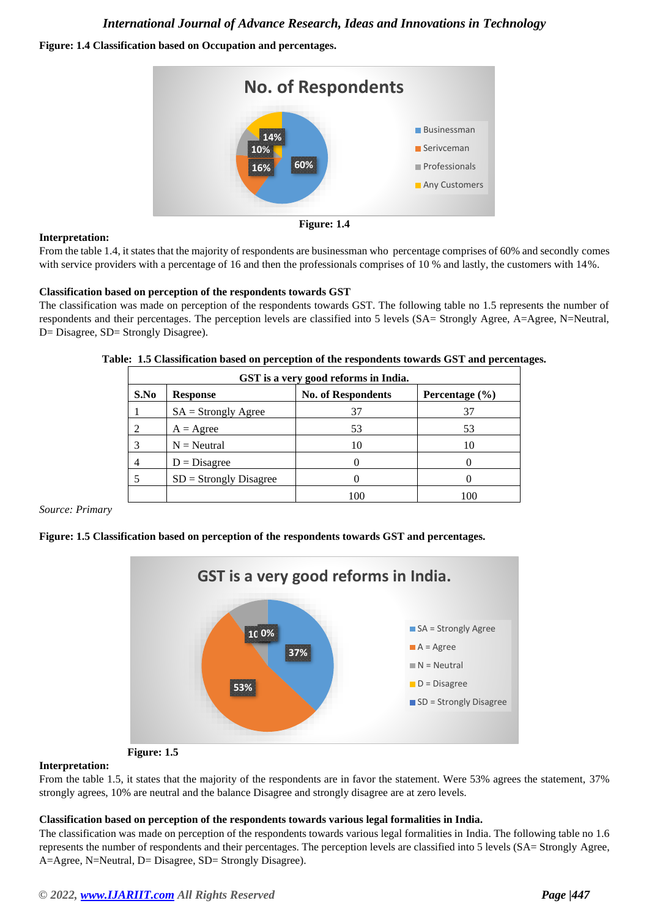#### **Figure: 1.4 Classification based on Occupation and percentages.**



#### **Interpretation:**



From the table 1.4, it states that the majority of respondents are businessman who percentage comprises of 60% and secondly comes with service providers with a percentage of 16 and then the professionals comprises of 10 % and lastly, the customers with 14%.

#### **Classification based on perception of the respondents towards GST**

The classification was made on perception of the respondents towards GST. The following table no 1.5 represents the number of respondents and their percentages. The perception levels are classified into 5 levels (SA= Strongly Agree, A=Agree, N=Neutral, D= Disagree, SD= Strongly Disagree).

|      | GST is a very good reforms in India. |                           |                |  |  |  |
|------|--------------------------------------|---------------------------|----------------|--|--|--|
| S.No | <b>Response</b>                      | <b>No. of Respondents</b> | Percentage (%) |  |  |  |
|      | $SA =$ Strongly Agree                | 37                        | 37             |  |  |  |
| 2    | $A = \text{Agree}$                   | 53                        | 53             |  |  |  |
| 3    | $N =$ Neutral                        | 10                        | 10             |  |  |  |
| 4    | $D = Disagree$                       |                           |                |  |  |  |
| 5    | $SD =$ Strongly Disagree             |                           |                |  |  |  |
|      |                                      | 100                       | 100            |  |  |  |

**Table: 1.5 Classification based on perception of the respondents towards GST and percentages.**

#### *Source: Primary*

#### **Figure: 1.5 Classification based on perception of the respondents towards GST and percentages.**





#### **Interpretation:**

From the table 1.5, it states that the majority of the respondents are in favor the statement. Were 53% agrees the statement, 37% strongly agrees, 10% are neutral and the balance Disagree and strongly disagree are at zero levels.

#### **Classification based on perception of the respondents towards various legal formalities in India.**

The classification was made on perception of the respondents towards various legal formalities in India. The following table no 1.6 represents the number of respondents and their percentages. The perception levels are classified into 5 levels (SA= Strongly Agree, A=Agree, N=Neutral, D= Disagree, SD= Strongly Disagree).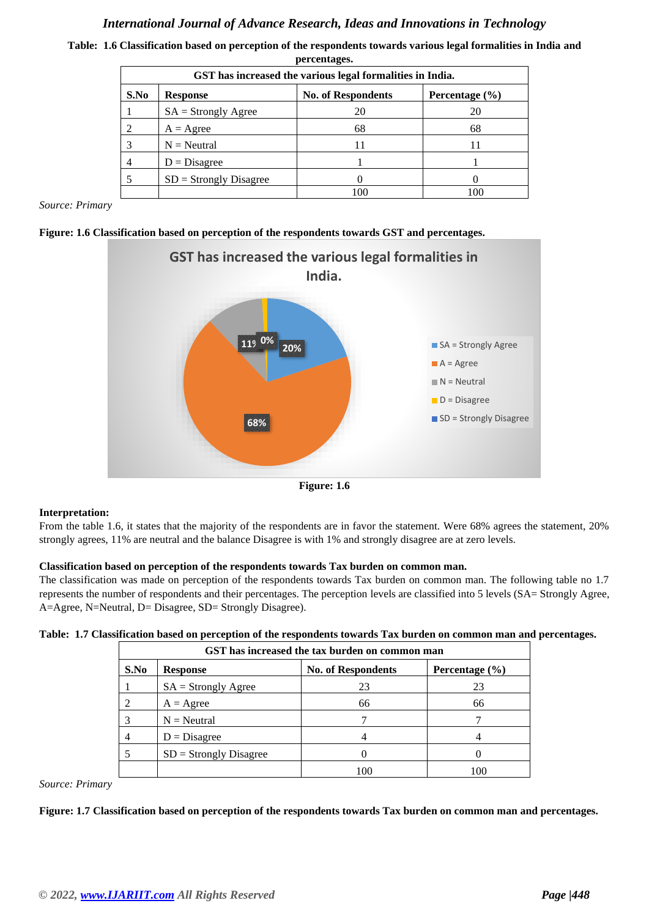|      | percentages.<br>GST has increased the various legal formalities in India. |                           |                    |  |  |
|------|---------------------------------------------------------------------------|---------------------------|--------------------|--|--|
| S.No | <b>Response</b>                                                           | <b>No. of Respondents</b> | Percentage $(\% )$ |  |  |
|      | $SA =$ Strongly Agree                                                     | 20                        | 20                 |  |  |
|      | $A = \text{Agree}$                                                        | 68                        | 68                 |  |  |
|      | $N =$ Neutral                                                             |                           |                    |  |  |
| 4    | $D = Disagree$                                                            |                           |                    |  |  |
|      | $SD =$ Strongly Disagree                                                  |                           |                    |  |  |
|      |                                                                           | 100                       | 100                |  |  |

**Table: 1.6 Classification based on perception of the respondents towards various legal formalities in India and percentages.**

*Source: Primary*





**Figure: 1.6**

#### **Interpretation:**

From the table 1.6, it states that the majority of the respondents are in favor the statement. Were 68% agrees the statement, 20% strongly agrees, 11% are neutral and the balance Disagree is with 1% and strongly disagree are at zero levels.

#### **Classification based on perception of the respondents towards Tax burden on common man.**

The classification was made on perception of the respondents towards Tax burden on common man. The following table no 1.7 represents the number of respondents and their percentages. The perception levels are classified into 5 levels (SA= Strongly Agree, A=Agree, N=Neutral, D= Disagree, SD= Strongly Disagree).

|  |  | Table: 1.7 Classification based on perception of the respondents towards Tax burden on common man and percentages. |  |  |  |  |  |  |  |  |  |
|--|--|--------------------------------------------------------------------------------------------------------------------|--|--|--|--|--|--|--|--|--|
|--|--|--------------------------------------------------------------------------------------------------------------------|--|--|--|--|--|--|--|--|--|

|      | GST has increased the tax burden on common man |                           |                |  |  |  |
|------|------------------------------------------------|---------------------------|----------------|--|--|--|
| S.No | <b>Response</b>                                | <b>No. of Respondents</b> | Percentage (%) |  |  |  |
|      | $SA =$ Strongly Agree                          | 23                        | 23             |  |  |  |
| 2    | $A = \text{Agree}$                             | 66                        | 66             |  |  |  |
| 3    | $N =$ Neutral                                  |                           |                |  |  |  |
| 4    | $D = Disagree$                                 |                           |                |  |  |  |
| 5    | $SD =$ Strongly Disagree                       |                           |                |  |  |  |
|      |                                                | 100                       | 100            |  |  |  |

*Source: Primary*

**Figure: 1.7 Classification based on perception of the respondents towards Tax burden on common man and percentages.**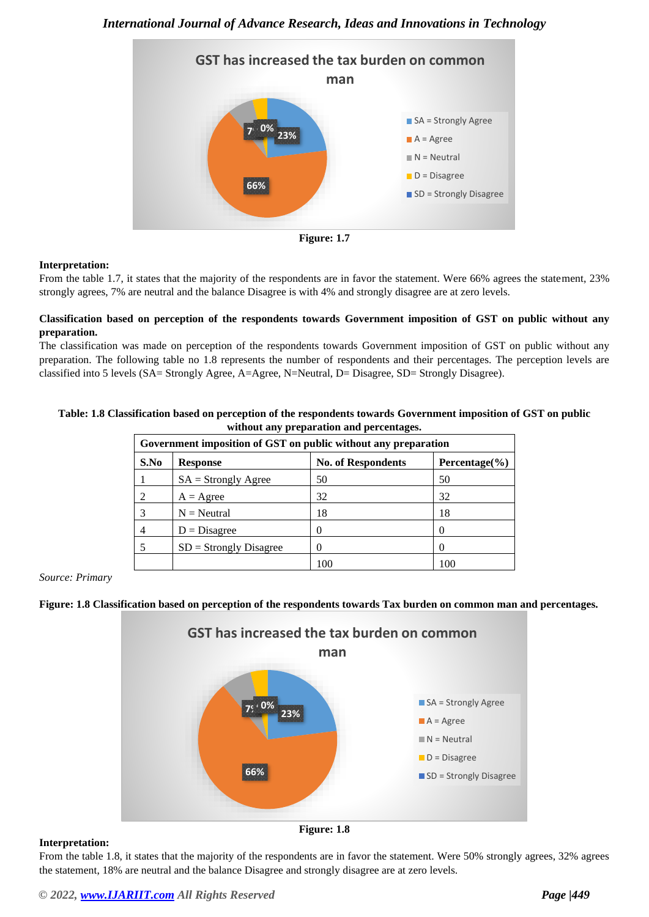



#### **Interpretation:**

From the table 1.7, it states that the majority of the respondents are in favor the statement. Were 66% agrees the statement, 23% strongly agrees, 7% are neutral and the balance Disagree is with 4% and strongly disagree are at zero levels.

#### **Classification based on perception of the respondents towards Government imposition of GST on public without any preparation.**

The classification was made on perception of the respondents towards Government imposition of GST on public without any preparation. The following table no 1.8 represents the number of respondents and their percentages. The perception levels are classified into 5 levels (SA= Strongly Agree, A=Agree, N=Neutral, D= Disagree, SD= Strongly Disagree).

#### **Table: 1.8 Classification based on perception of the respondents towards Government imposition of GST on public without any preparation and percentages.**

| Government imposition of GST on public without any preparation |                          |                           |                    |  |
|----------------------------------------------------------------|--------------------------|---------------------------|--------------------|--|
| S.No                                                           | <b>Response</b>          | <b>No. of Respondents</b> | Percentage $(\% )$ |  |
|                                                                | $SA =$ Strongly Agree    | 50                        | 50                 |  |
| $\mathcal{D}_{\mathcal{L}}$                                    | $A = \text{Agree}$       | 32                        | 32                 |  |
| 3                                                              | $N =$ Neutral            | 18                        | 18                 |  |
| $\overline{4}$                                                 | $D = Disagree$           | 0                         |                    |  |
|                                                                | $SD =$ Strongly Disagree | 0                         |                    |  |
|                                                                |                          | 100                       | 100                |  |

*Source: Primary*

#### **Figure: 1.8 Classification based on perception of the respondents towards Tax burden on common man and percentages.**



#### **Interpretation:**

**Figure: 1.8**

From the table 1.8, it states that the majority of the respondents are in favor the statement. Were 50% strongly agrees, 32% agrees the statement, 18% are neutral and the balance Disagree and strongly disagree are at zero levels.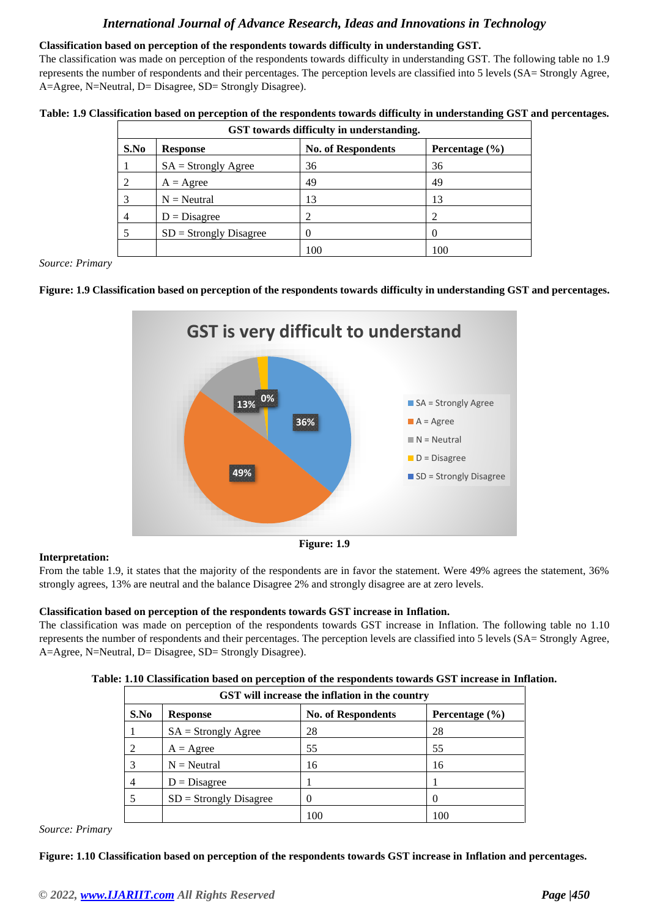#### **Classification based on perception of the respondents towards difficulty in understanding GST.**

The classification was made on perception of the respondents towards difficulty in understanding GST. The following table no 1.9 represents the number of respondents and their percentages. The perception levels are classified into 5 levels (SA= Strongly Agree, A=Agree, N=Neutral, D= Disagree, SD= Strongly Disagree).

| Table: 1.9 Classification based on perception of the respondents towards difficulty in understanding GST and percentages. |  |
|---------------------------------------------------------------------------------------------------------------------------|--|
|---------------------------------------------------------------------------------------------------------------------------|--|

| GST towards difficulty in understanding. |                          |                           |                    |  |  |  |
|------------------------------------------|--------------------------|---------------------------|--------------------|--|--|--|
| S.No                                     | <b>Response</b>          | <b>No. of Respondents</b> | Percentage $(\% )$ |  |  |  |
|                                          | $SA =$ Strongly Agree    | 36                        | 36                 |  |  |  |
| 2                                        | $A = \text{Agree}$       | 49                        | 49                 |  |  |  |
| 3                                        | $N =$ Neutral            | 13                        | 13                 |  |  |  |
| 4                                        | $D = Disagree$           |                           |                    |  |  |  |
| 5                                        | $SD =$ Strongly Disagree |                           |                    |  |  |  |
|                                          |                          | 100                       | 100                |  |  |  |

*Source: Primary*

#### **Figure: 1.9 Classification based on perception of the respondents towards difficulty in understanding GST and percentages.**



**Figure: 1.9**

#### **Interpretation:**

From the table 1.9, it states that the majority of the respondents are in favor the statement. Were 49% agrees the statement, 36% strongly agrees, 13% are neutral and the balance Disagree 2% and strongly disagree are at zero levels.

#### **Classification based on perception of the respondents towards GST increase in Inflation.**

The classification was made on perception of the respondents towards GST increase in Inflation. The following table no 1.10 represents the number of respondents and their percentages. The perception levels are classified into 5 levels (SA= Strongly Agree, A=Agree, N=Neutral, D= Disagree, SD= Strongly Disagree).

|  | Table: 1.10 Classification based on perception of the respondents towards GST increase in Inflation. |  |  |  |  |  |
|--|------------------------------------------------------------------------------------------------------|--|--|--|--|--|
|  |                                                                                                      |  |  |  |  |  |

| GST will increase the inflation in the country                             |                          |     |    |  |  |  |  |
|----------------------------------------------------------------------------|--------------------------|-----|----|--|--|--|--|
| S.No<br><b>No. of Respondents</b><br>Percentage $(\% )$<br><b>Response</b> |                          |     |    |  |  |  |  |
|                                                                            | $SA =$ Strongly Agree    | 28  | 28 |  |  |  |  |
|                                                                            | $A = \text{Agree}$       | 55  | 55 |  |  |  |  |
|                                                                            | $N =$ Neutral            | 16  | 16 |  |  |  |  |
| 4                                                                          | $D = Disagree$           |     |    |  |  |  |  |
|                                                                            | $SD =$ Strongly Disagree |     |    |  |  |  |  |
|                                                                            |                          | 100 |    |  |  |  |  |

*Source: Primary*

**Figure: 1.10 Classification based on perception of the respondents towards GST increase in Inflation and percentages.**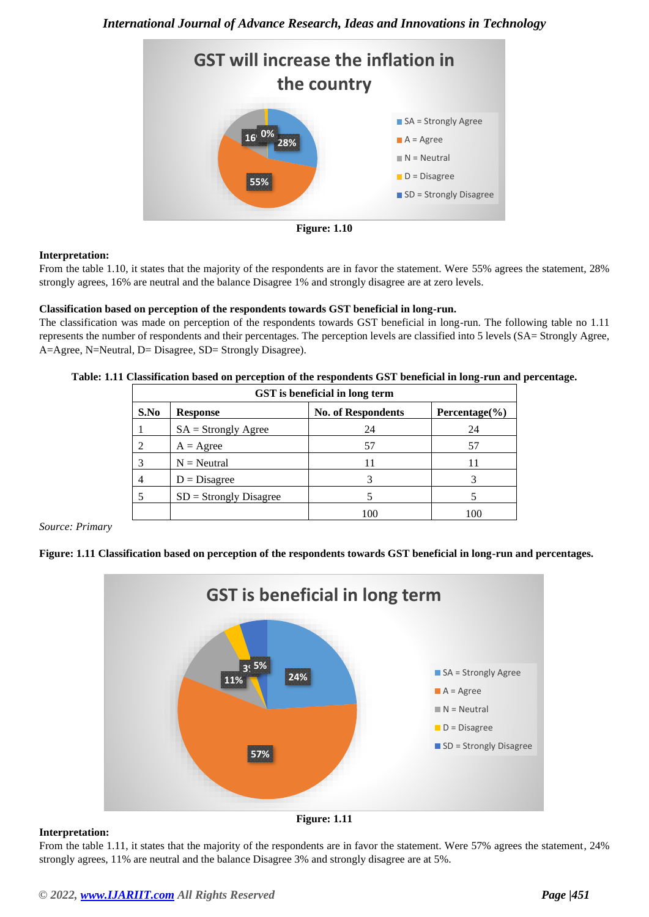



#### **Interpretation:**

From the table 1.10, it states that the majority of the respondents are in favor the statement. Were 55% agrees the statement, 28% strongly agrees, 16% are neutral and the balance Disagree 1% and strongly disagree are at zero levels.

#### **Classification based on perception of the respondents towards GST beneficial in long-run.**

The classification was made on perception of the respondents towards GST beneficial in long-run. The following table no 1.11 represents the number of respondents and their percentages. The perception levels are classified into 5 levels (SA= Strongly Agree, A=Agree, N=Neutral, D= Disagree, SD= Strongly Disagree).

| Table: 1.11 Classification based on perception of the respondents GST beneficial in long-run and percentage. |  |  |
|--------------------------------------------------------------------------------------------------------------|--|--|
|                                                                                                              |  |  |

| GST is beneficial in long term |                          |                           |                    |  |  |  |
|--------------------------------|--------------------------|---------------------------|--------------------|--|--|--|
| S.No                           | <b>Response</b>          | <b>No. of Respondents</b> | Percentage $(\% )$ |  |  |  |
|                                | $SA =$ Strongly Agree    | 24                        | 24                 |  |  |  |
|                                | $A = \text{Agree}$       | 57                        | 57                 |  |  |  |
| 3                              | $N =$ Neutral            | 11                        | 11                 |  |  |  |
|                                | $D = Disagree$           |                           |                    |  |  |  |
|                                | $SD =$ Strongly Disagree |                           |                    |  |  |  |
|                                |                          | 100                       | 100                |  |  |  |

*Source: Primary*

#### **Figure: 1.11 Classification based on perception of the respondents towards GST beneficial in long-run and percentages.**



#### **Interpretation:**

**Figure: 1.11**

From the table 1.11, it states that the majority of the respondents are in favor the statement. Were 57% agrees the statement, 24% strongly agrees, 11% are neutral and the balance Disagree 3% and strongly disagree are at 5%.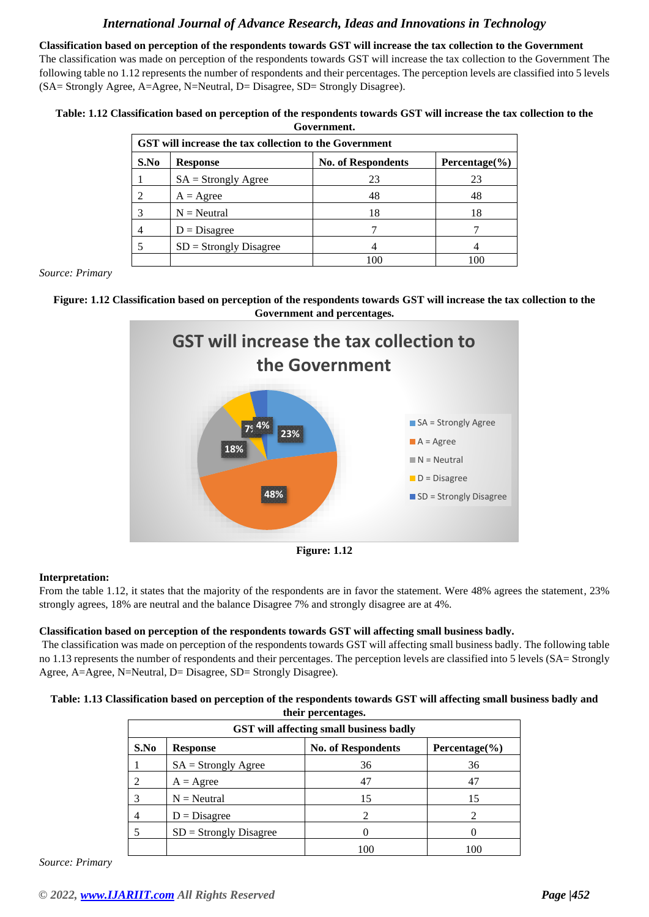**Classification based on perception of the respondents towards GST will increase the tax collection to the Government** The classification was made on perception of the respondents towards GST will increase the tax collection to the Government The following table no 1.12 represents the number of respondents and their percentages. The perception levels are classified into 5 levels (SA= Strongly Agree, A=Agree, N=Neutral, D= Disagree, SD= Strongly Disagree).

#### **Table: 1.12 Classification based on perception of the respondents towards GST will increase the tax collection to the Government.**

| <b>GST</b> will increase the tax collection to the Government |                          |                           |                    |  |  |  |
|---------------------------------------------------------------|--------------------------|---------------------------|--------------------|--|--|--|
| S.No                                                          | <b>Response</b>          | <b>No. of Respondents</b> | Percentage $(\% )$ |  |  |  |
|                                                               | $SA =$ Strongly Agree    | 23                        | 23                 |  |  |  |
| 2                                                             | $A = \text{Agree}$       | 48                        | 48                 |  |  |  |
| 3                                                             | $N =$ Neutral            | 18                        | 18                 |  |  |  |
| 4                                                             | $D = Disagree$           |                           |                    |  |  |  |
| 5                                                             | $SD =$ Strongly Disagree |                           |                    |  |  |  |
|                                                               |                          |                           |                    |  |  |  |

*Source: Primary*





**Figure: 1.12**

#### **Interpretation:**

From the table 1.12, it states that the majority of the respondents are in favor the statement. Were 48% agrees the statement, 23% strongly agrees, 18% are neutral and the balance Disagree 7% and strongly disagree are at 4%.

#### **Classification based on perception of the respondents towards GST will affecting small business badly.**

The classification was made on perception of the respondents towards GST will affecting small business badly. The following table no 1.13 represents the number of respondents and their percentages. The perception levels are classified into 5 levels (SA= Strongly Agree, A=Agree, N=Neutral, D= Disagree, SD= Strongly Disagree).

#### **Table: 1.13 Classification based on perception of the respondents towards GST will affecting small business badly and their percentages.**

| uitu pertumages.<br>GST will affecting small business badly                |                          |     |     |  |  |  |  |  |
|----------------------------------------------------------------------------|--------------------------|-----|-----|--|--|--|--|--|
| S.No<br><b>No. of Respondents</b><br>Percentage $(\% )$<br><b>Response</b> |                          |     |     |  |  |  |  |  |
|                                                                            | $SA =$ Strongly Agree    | 36  | 36  |  |  |  |  |  |
|                                                                            | $A = \text{Agree}$       | 47  | 47  |  |  |  |  |  |
| 3                                                                          | $N =$ Neutral            | 15  | 15  |  |  |  |  |  |
| 4                                                                          | $D = Disagree$           |     |     |  |  |  |  |  |
|                                                                            | $SD =$ Strongly Disagree |     |     |  |  |  |  |  |
|                                                                            |                          | 100 | 100 |  |  |  |  |  |

*Source: Primary*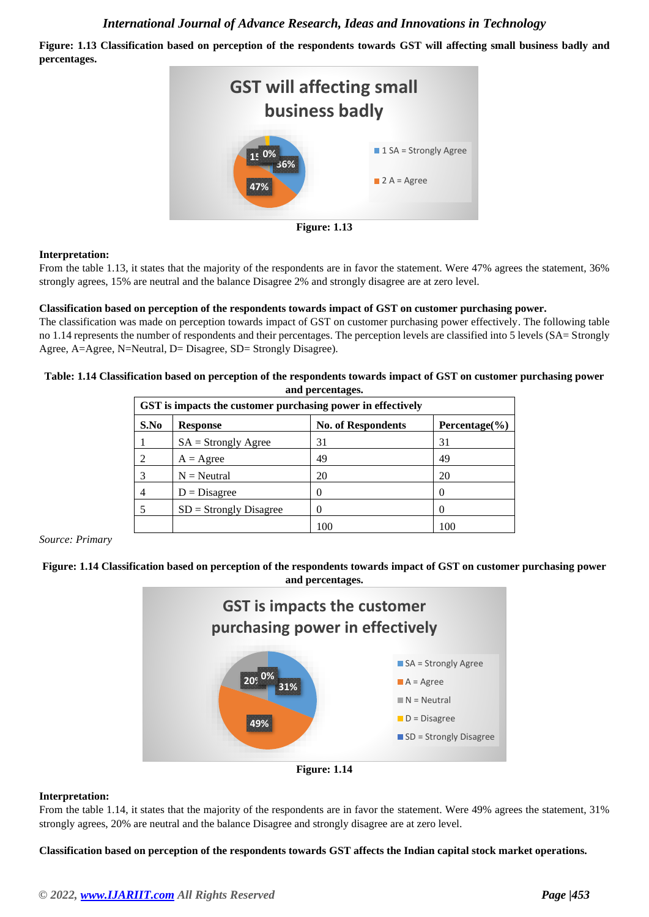**Figure: 1.13 Classification based on perception of the respondents towards GST will affecting small business badly and percentages.**



#### **Interpretation:**

From the table 1.13, it states that the majority of the respondents are in favor the statement. Were 47% agrees the statement, 36% strongly agrees, 15% are neutral and the balance Disagree 2% and strongly disagree are at zero level.

#### **Classification based on perception of the respondents towards impact of GST on customer purchasing power.**

The classification was made on perception towards impact of GST on customer purchasing power effectively. The following table no 1.14 represents the number of respondents and their percentages. The perception levels are classified into 5 levels (SA= Strongly Agree, A=Agree, N=Neutral, D= Disagree, SD= Strongly Disagree).

#### **Table: 1.14 Classification based on perception of the respondents towards impact of GST on customer purchasing power and percentages.**

| GST is impacts the customer purchasing power in effectively |                          |                           |                  |  |  |  |
|-------------------------------------------------------------|--------------------------|---------------------------|------------------|--|--|--|
| S.No                                                        | <b>Response</b>          | <b>No. of Respondents</b> | $Percentage(\%)$ |  |  |  |
|                                                             | $SA =$ Strongly Agree    | 31                        | 31               |  |  |  |
| 2                                                           | $A = \text{Agree}$       | 49                        | 49               |  |  |  |
| 3                                                           | $N =$ Neutral            | 20                        | 20               |  |  |  |
| 4                                                           | $D = Disagree$           |                           |                  |  |  |  |
|                                                             | $SD =$ Strongly Disagree |                           |                  |  |  |  |
|                                                             |                          | 100                       | 100              |  |  |  |

*Source: Primary*

#### **Figure: 1.14 Classification based on perception of the respondents towards impact of GST on customer purchasing power and percentages.**





#### **Interpretation:**

From the table 1.14, it states that the majority of the respondents are in favor the statement. Were 49% agrees the statement, 31% strongly agrees, 20% are neutral and the balance Disagree and strongly disagree are at zero level.

**Classification based on perception of the respondents towards GST affects the Indian capital stock market operations.**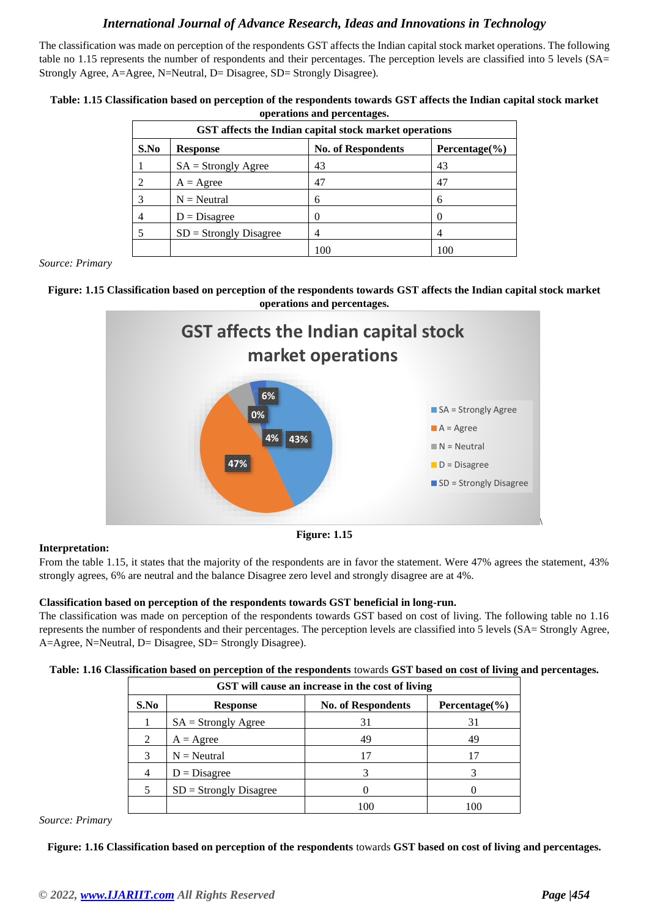The classification was made on perception of the respondents GST affects the Indian capital stock market operations. The following table no 1.15 represents the number of respondents and their percentages. The perception levels are classified into 5 levels (SA= Strongly Agree, A=Agree, N=Neutral, D= Disagree, SD= Strongly Disagree).

| Table: 1.15 Classification based on perception of the respondents towards GST affects the Indian capital stock market |  |
|-----------------------------------------------------------------------------------------------------------------------|--|
| operations and percentages.                                                                                           |  |

| GST affects the Indian capital stock market operations |                          |                           |                    |  |  |  |
|--------------------------------------------------------|--------------------------|---------------------------|--------------------|--|--|--|
| S.No                                                   | <b>Response</b>          | <b>No. of Respondents</b> | Percentage $(\% )$ |  |  |  |
|                                                        | $SA =$ Strongly Agree    | 43                        | 43                 |  |  |  |
| 2                                                      | $A = \text{Agree}$       | 47                        | 47                 |  |  |  |
|                                                        | $N =$ Neutral            | 6                         | 6                  |  |  |  |
| 4                                                      | $D = Disagree$           | 0                         |                    |  |  |  |
|                                                        | $SD =$ Strongly Disagree | 4                         |                    |  |  |  |
|                                                        |                          | 100                       |                    |  |  |  |

*Source: Primary*

#### **Figure: 1.15 Classification based on perception of the respondents towards GST affects the Indian capital stock market operations and percentages.**



#### **Figure: 1.15**

#### **Interpretation:**

From the table 1.15, it states that the majority of the respondents are in favor the statement. Were 47% agrees the statement, 43% strongly agrees, 6% are neutral and the balance Disagree zero level and strongly disagree are at 4%.

#### **Classification based on perception of the respondents towards GST beneficial in long-run.**

The classification was made on perception of the respondents towards GST based on cost of living. The following table no 1.16 represents the number of respondents and their percentages. The perception levels are classified into 5 levels (SA= Strongly Agree, A=Agree, N=Neutral, D= Disagree, SD= Strongly Disagree).

|  | Table: 1.16 Classification based on perception of the respondents towards GST based on cost of living and percentages. |  |  |  |  |  |  |
|--|------------------------------------------------------------------------------------------------------------------------|--|--|--|--|--|--|
|  |                                                                                                                        |  |  |  |  |  |  |

| GST will cause an increase in the cost of living |                          |                           |                    |  |  |  |
|--------------------------------------------------|--------------------------|---------------------------|--------------------|--|--|--|
| S.No                                             | <b>Response</b>          | <b>No. of Respondents</b> | Percentage $(\% )$ |  |  |  |
|                                                  | $SA =$ Strongly Agree    | 31                        | 31                 |  |  |  |
| 2                                                | $A = \text{Agree}$       | 49                        | 49                 |  |  |  |
| 3                                                | $N =$ Neutral            | 17                        | 17                 |  |  |  |
| 4                                                | $D = Disagree$           |                           |                    |  |  |  |
|                                                  | $SD =$ Strongly Disagree |                           |                    |  |  |  |
|                                                  |                          |                           |                    |  |  |  |

*Source: Primary*

**Figure: 1.16 Classification based on perception of the respondents** towards **GST based on cost of living and percentages.**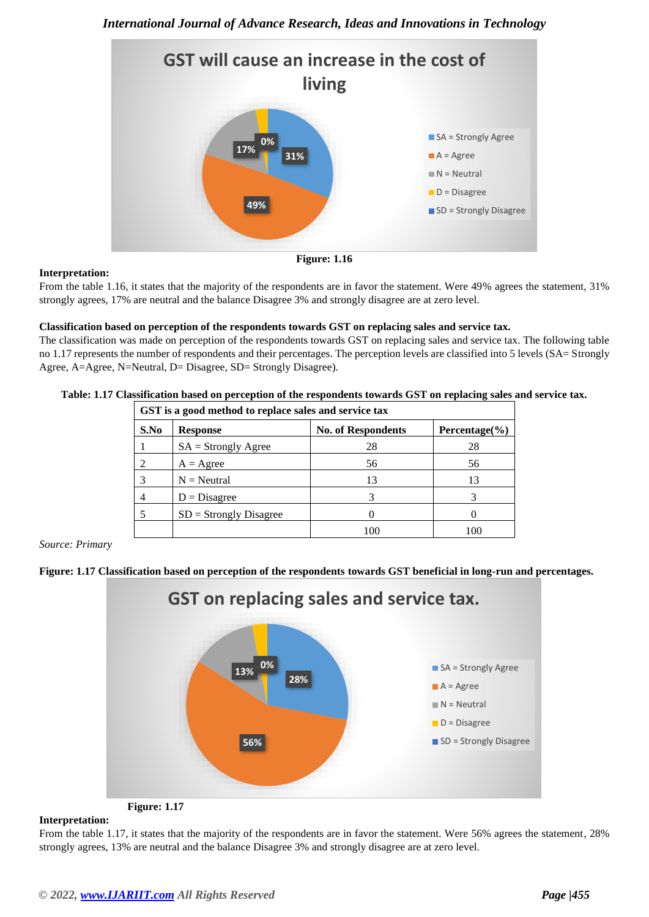

#### **Interpretation:**

**Figure: 1.16**

From the table 1.16, it states that the majority of the respondents are in favor the statement. Were 49% agrees the statement, 31% strongly agrees, 17% are neutral and the balance Disagree 3% and strongly disagree are at zero level.

#### **Classification based on perception of the respondents towards GST on replacing sales and service tax.**

The classification was made on perception of the respondents towards GST on replacing sales and service tax. The following table no 1.17 represents the number of respondents and their percentages. The perception levels are classified into 5 levels (SA= Strongly Agree, A=Agree, N=Neutral, D= Disagree, SD= Strongly Disagree).

| GST is a good method to replace sales and service tax |                          |                           |                    |
|-------------------------------------------------------|--------------------------|---------------------------|--------------------|
| S.No                                                  | <b>Response</b>          | <b>No. of Respondents</b> | Percentage $(\% )$ |
|                                                       | $SA =$ Strongly Agree    | 28                        | 28                 |
|                                                       | $A = \text{Agree}$       | 56                        | 56                 |
|                                                       | $N =$ Neutral            | 13                        | 13                 |
| 4                                                     | $D = Disagree$           |                           |                    |
|                                                       | $SD =$ Strongly Disagree |                           |                    |
|                                                       |                          |                           |                    |

#### **Table: 1.17 Classification based on perception of the respondents towards GST on replacing sales and service tax.**

*Source: Primary*





#### **Interpretation:**

From the table 1.17, it states that the majority of the respondents are in favor the statement. Were 56% agrees the statement, 28% strongly agrees, 13% are neutral and the balance Disagree 3% and strongly disagree are at zero level.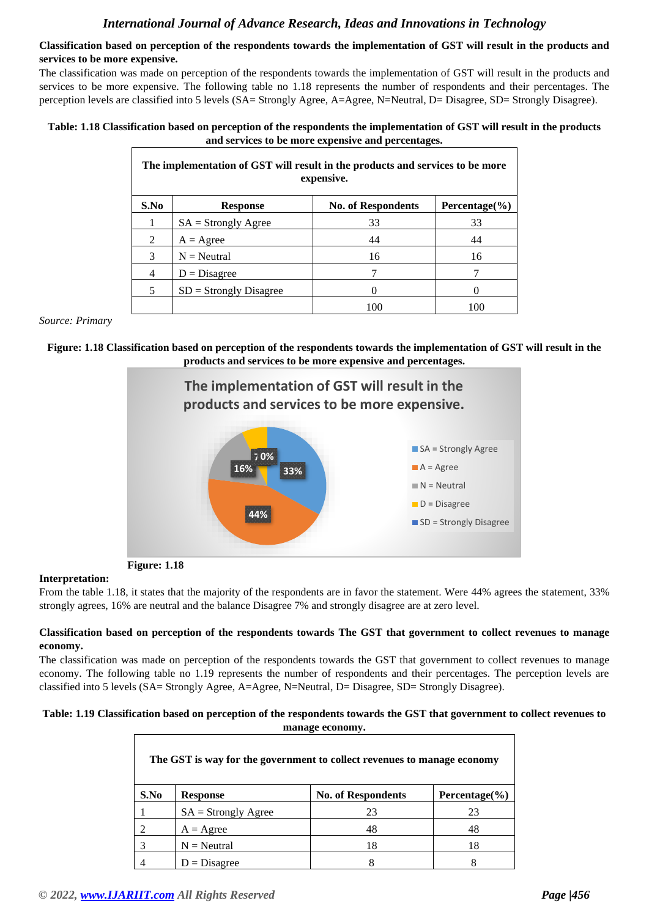#### **Classification based on perception of the respondents towards the implementation of GST will result in the products and services to be more expensive.**

The classification was made on perception of the respondents towards the implementation of GST will result in the products and services to be more expensive. The following table no 1.18 represents the number of respondents and their percentages. The perception levels are classified into 5 levels (SA= Strongly Agree, A=Agree, N=Neutral, D= Disagree, SD= Strongly Disagree).

#### **Table: 1.18 Classification based on perception of the respondents the implementation of GST will result in the products and services to be more expensive and percentages.**

|      | The implementation of GST will result in the products and services to be more<br>expensive. |                           |                    |  |
|------|---------------------------------------------------------------------------------------------|---------------------------|--------------------|--|
| S.No | <b>Response</b>                                                                             | <b>No. of Respondents</b> | Percentage $(\% )$ |  |
|      | $SA =$ Strongly Agree                                                                       | 33                        | 33                 |  |
| 2    | $A = \text{Agree}$                                                                          | 44                        | 44                 |  |
| 3    | $N =$ Neutral                                                                               | 16                        | 16                 |  |
| 4    | $D = Disagree$                                                                              |                           |                    |  |
| 5    | $SD =$ Strongly Disagree                                                                    |                           |                    |  |
|      |                                                                                             | 100                       | 100                |  |

*Source: Primary*





**Figure: 1.18**

#### **Interpretation:**

From the table 1.18, it states that the majority of the respondents are in favor the statement. Were 44% agrees the statement, 33% strongly agrees, 16% are neutral and the balance Disagree 7% and strongly disagree are at zero level.

#### **Classification based on perception of the respondents towards The GST that government to collect revenues to manage economy.**

The classification was made on perception of the respondents towards the GST that government to collect revenues to manage economy. The following table no 1.19 represents the number of respondents and their percentages. The perception levels are classified into 5 levels (SA= Strongly Agree, A=Agree, N=Neutral, D= Disagree, SD= Strongly Disagree).

#### **Table: 1.19 Classification based on perception of the respondents towards the GST that government to collect revenues to manage economy.**

| The GST is way for the government to collect revenues to manage economy |                       |                           |                    |
|-------------------------------------------------------------------------|-----------------------|---------------------------|--------------------|
| S.No                                                                    | <b>Response</b>       | <b>No. of Respondents</b> | Percentage $(\% )$ |
|                                                                         | $SA =$ Strongly Agree | 23                        | 23                 |
|                                                                         | $A = \text{Agree}$    | 48                        | 48                 |
|                                                                         | $N =$ Neutral         | 18                        | 18                 |
|                                                                         | $D = Disagree$        | 8                         |                    |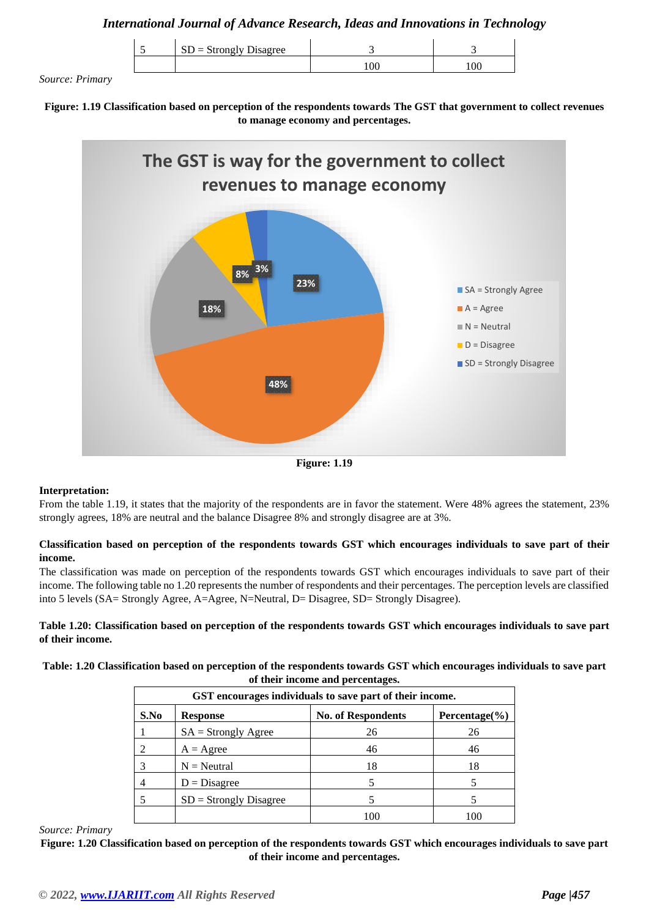| $SD =$ Strongly Disagree |     |  |
|--------------------------|-----|--|
|                          | 100 |  |

*Source: Primary*

**Figure: 1.19 Classification based on perception of the respondents towards The GST that government to collect revenues to manage economy and percentages.**



**Figure: 1.19**

#### **Interpretation:**

From the table 1.19, it states that the majority of the respondents are in favor the statement. Were 48% agrees the statement, 23% strongly agrees, 18% are neutral and the balance Disagree 8% and strongly disagree are at 3%.

#### **Classification based on perception of the respondents towards GST which encourages individuals to save part of their income.**

The classification was made on perception of the respondents towards GST which encourages individuals to save part of their income. The following table no 1.20 represents the number of respondents and their percentages. The perception levels are classified into 5 levels (SA= Strongly Agree, A=Agree, N=Neutral, D= Disagree, SD= Strongly Disagree).

**Table 1.20: Classification based on perception of the respondents towards GST which encourages individuals to save part of their income.**

**Table: 1.20 Classification based on perception of the respondents towards GST which encourages individuals to save part of their income and percentages.**

| GST encourages individuals to save part of their income. |                          |                           |                    |
|----------------------------------------------------------|--------------------------|---------------------------|--------------------|
| S.No                                                     | <b>Response</b>          | <b>No. of Respondents</b> | Percentage $(\% )$ |
|                                                          | $SA =$ Strongly Agree    | 26                        | 26                 |
| 2                                                        | $A = \text{Agree}$       | 46                        | 46                 |
| 3                                                        | $N =$ Neutral            | 18                        | 18                 |
| 4                                                        | $D = Disagree$           |                           |                    |
|                                                          | $SD =$ Strongly Disagree |                           |                    |
|                                                          |                          | 10C                       |                    |

*Source: Primary*

**Figure: 1.20 Classification based on perception of the respondents towards GST which encourages individuals to save part of their income and percentages.**